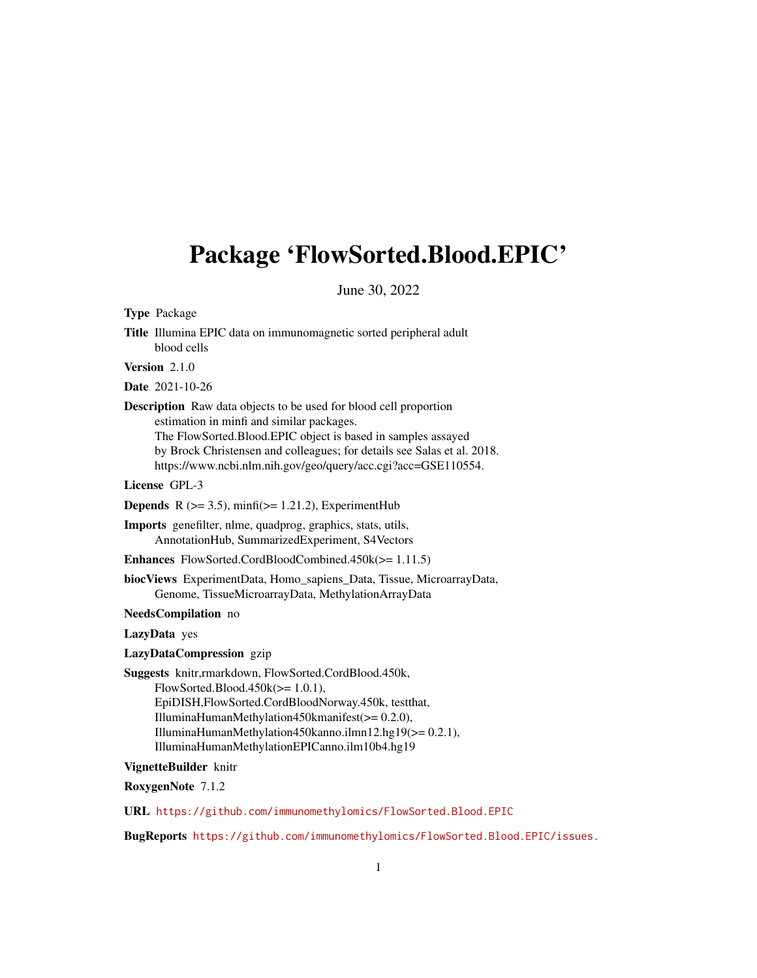# Package 'FlowSorted.Blood.EPIC'

June 30, 2022

Type Package

Title Illumina EPIC data on immunomagnetic sorted peripheral adult blood cells

Version 2.1.0

Date 2021-10-26

Description Raw data objects to be used for blood cell proportion estimation in minfi and similar packages. The FlowSorted.Blood.EPIC object is based in samples assayed by Brock Christensen and colleagues; for details see Salas et al. 2018. https://www.ncbi.nlm.nih.gov/geo/query/acc.cgi?acc=GSE110554.

License GPL-3

**Depends** R  $(>= 3.5)$ , minfi $(>= 1.21.2)$ , ExperimentHub

Imports genefilter, nlme, quadprog, graphics, stats, utils, AnnotationHub, SummarizedExperiment, S4Vectors

Enhances FlowSorted.CordBloodCombined.450k(>= 1.11.5)

biocViews ExperimentData, Homo\_sapiens\_Data, Tissue, MicroarrayData, Genome, TissueMicroarrayData, MethylationArrayData

NeedsCompilation no

LazyData yes

LazyDataCompression gzip

Suggests knitr,rmarkdown, FlowSorted.CordBlood.450k,  $FlowSorted.Blood.450k(>= 1.0.1),$ EpiDISH,FlowSorted.CordBloodNorway.450k, testthat, IlluminaHumanMethylation450kmanifest(>= 0.2.0), IlluminaHumanMethylation450kanno.ilmn12.hg19(>= 0.2.1), IlluminaHumanMethylationEPICanno.ilm10b4.hg19

#### VignetteBuilder knitr

RoxygenNote 7.1.2

URL <https://github.com/immunomethylomics/FlowSorted.Blood.EPIC>

BugReports <https://github.com/immunomethylomics/FlowSorted.Blood.EPIC/issues.>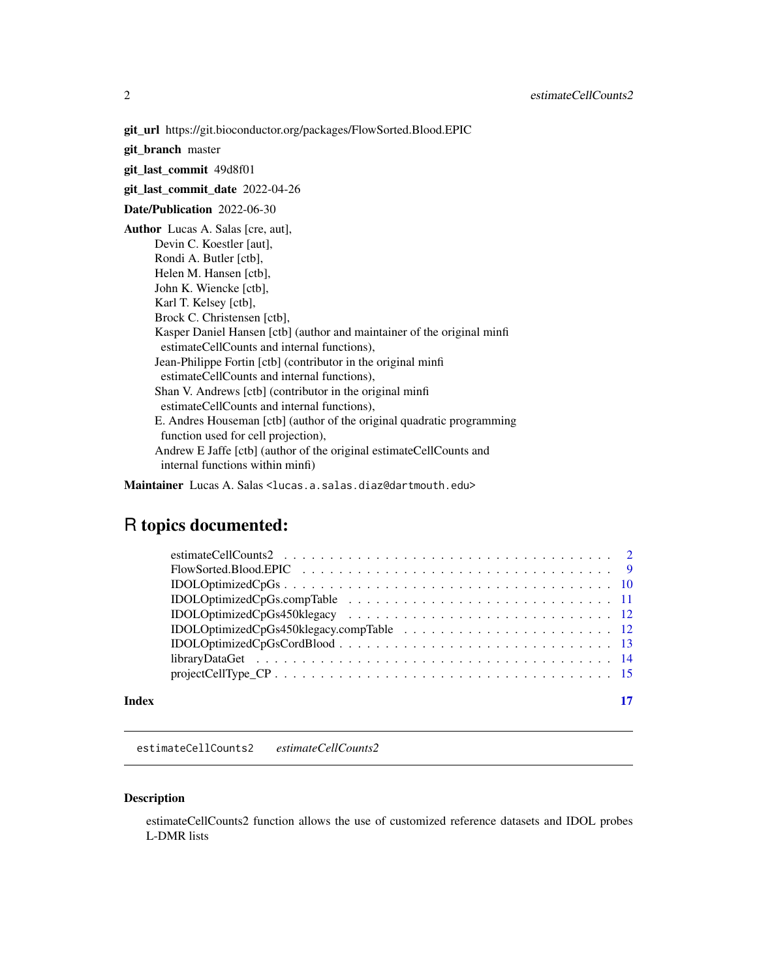<span id="page-1-0"></span>git\_url https://git.bioconductor.org/packages/FlowSorted.Blood.EPIC

git\_branch master

git\_last\_commit 49d8f01

git\_last\_commit\_date 2022-04-26

Date/Publication 2022-06-30

Author Lucas A. Salas [cre, aut], Devin C. Koestler [aut], Rondi A. Butler [ctb], Helen M. Hansen [ctb], John K. Wiencke [ctb], Karl T. Kelsey [ctb], Brock C. Christensen [ctb], Kasper Daniel Hansen [ctb] (author and maintainer of the original minfi estimateCellCounts and internal functions), Jean-Philippe Fortin [ctb] (contributor in the original minfi estimateCellCounts and internal functions), Shan V. Andrews [ctb] (contributor in the original minfi estimateCellCounts and internal functions), E. Andres Houseman [ctb] (author of the original quadratic programming function used for cell projection), Andrew E Jaffe [ctb] (author of the original estimateCellCounts and internal functions within minfi)

Maintainer Lucas A. Salas <lucas.a.salas.diaz@dartmouth.edu>

# R topics documented:

| $projectCellType\_CP \ldots \ldots \ldots \ldots \ldots \ldots \ldots \ldots \ldots \ldots \ldots \ldots 15$ |  |
|--------------------------------------------------------------------------------------------------------------|--|
|                                                                                                              |  |

#### **Index** [17](#page-16-0)

estimateCellCounts2 *estimateCellCounts2*

#### Description

estimateCellCounts2 function allows the use of customized reference datasets and IDOL probes L-DMR lists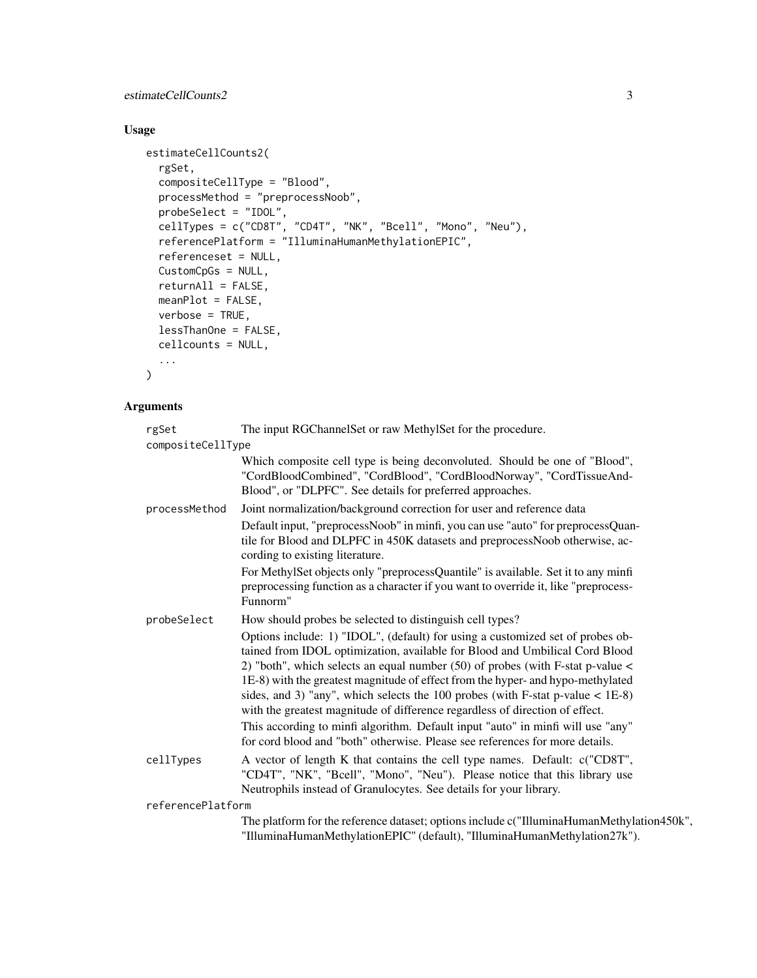estimateCellCounts2 3

# Usage

```
estimateCellCounts2(
  rgSet,
  compositeCellType = "Blood",
 processMethod = "preprocessNoob",
  probeSelect = "IDOL",
  cellTypes = c("CD8T", "CD4T", "NK", "Bcell", "Mono", "Neu"),
  referencePlatform = "IlluminaHumanMethylationEPIC",
  referenceset = NULL,
 CustomCpGs = NULL,
  returnAll = FALSE,
 meanPlot = FALSE,
 verbose = TRUE,
 lessThanOne = FALSE,
 cellcounts = NULL,
  ...
\mathcal{L}
```
# Arguments

| rgSet<br>compositeCellType | The input RGChannelSet or raw MethylSet for the procedure.                                                                                                                                                                                                                                                                                                                                                                                                                                                   |
|----------------------------|--------------------------------------------------------------------------------------------------------------------------------------------------------------------------------------------------------------------------------------------------------------------------------------------------------------------------------------------------------------------------------------------------------------------------------------------------------------------------------------------------------------|
|                            | Which composite cell type is being deconvoluted. Should be one of "Blood",<br>"CordBloodCombined", "CordBlood", "CordBloodNorway", "CordTissueAnd-<br>Blood", or "DLPFC". See details for preferred approaches.                                                                                                                                                                                                                                                                                              |
| processMethod              | Joint normalization/background correction for user and reference data                                                                                                                                                                                                                                                                                                                                                                                                                                        |
|                            | Default input, "preprocessNoob" in minfi, you can use "auto" for preprocessQuan-<br>tile for Blood and DLPFC in 450K datasets and preprocessNoob otherwise, ac-<br>cording to existing literature.                                                                                                                                                                                                                                                                                                           |
|                            | For MethylSet objects only "preprocessQuantile" is available. Set it to any minfi                                                                                                                                                                                                                                                                                                                                                                                                                            |
|                            | preprocessing function as a character if you want to override it, like "preprocess-<br>Funnorm"                                                                                                                                                                                                                                                                                                                                                                                                              |
| probeSelect                | How should probes be selected to distinguish cell types?                                                                                                                                                                                                                                                                                                                                                                                                                                                     |
|                            | Options include: 1) "IDOL", (default) for using a customized set of probes ob-<br>tained from IDOL optimization, available for Blood and Umbilical Cord Blood<br>2) "both", which selects an equal number $(50)$ of probes (with F-stat p-value $\lt$<br>1E-8) with the greatest magnitude of effect from the hyper- and hypo-methylated<br>sides, and 3) "any", which selects the 100 probes (with F-stat p-value $<$ 1E-8)<br>with the greatest magnitude of difference regardless of direction of effect. |
|                            | This according to minfi algorithm. Default input "auto" in minfi will use "any"<br>for cord blood and "both" otherwise. Please see references for more details.                                                                                                                                                                                                                                                                                                                                              |
| cellTypes                  | A vector of length K that contains the cell type names. Default: c("CD8T",<br>"CD4T", "NK", "Bcell", "Mono", "Neu"). Please notice that this library use<br>Neutrophils instead of Granulocytes. See details for your library.                                                                                                                                                                                                                                                                               |
| referencePlatform          |                                                                                                                                                                                                                                                                                                                                                                                                                                                                                                              |
|                            | The platform for the reference dataset; options include c("IlluminaHumanMethylation450k",<br>"IlluminaHumanMethylationEPIC" (default), "IlluminaHumanMethylation27k").                                                                                                                                                                                                                                                                                                                                       |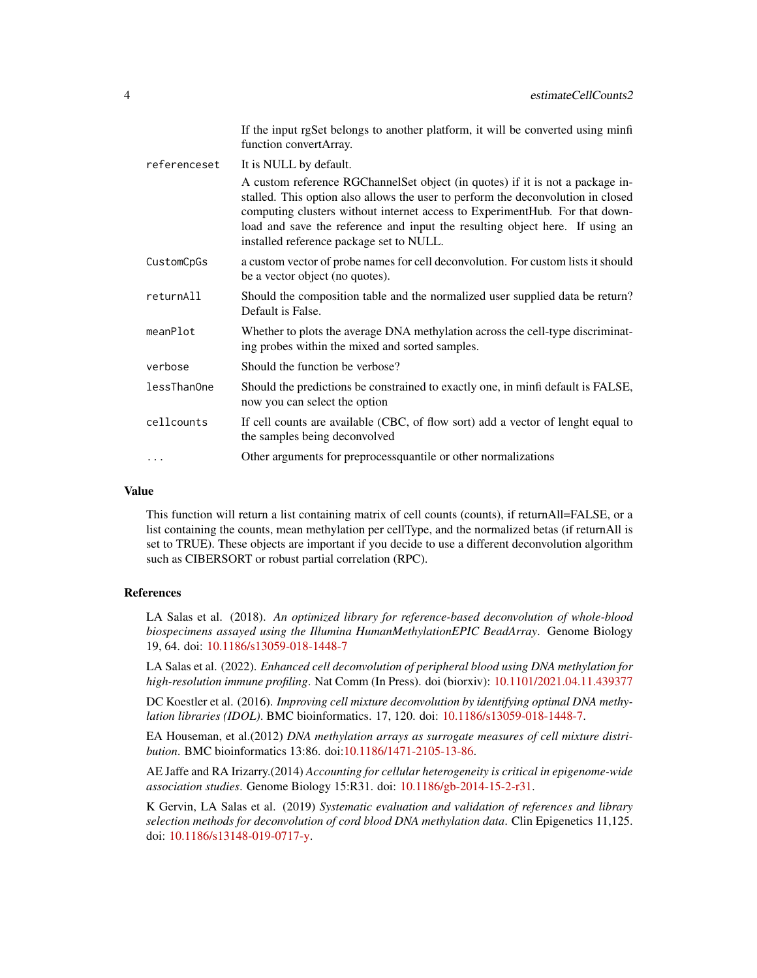|              | If the input rgSet belongs to another platform, it will be converted using minfi<br>function convertArray.                                                                                                                                                                                                                                                                   |
|--------------|------------------------------------------------------------------------------------------------------------------------------------------------------------------------------------------------------------------------------------------------------------------------------------------------------------------------------------------------------------------------------|
| referenceset | It is NULL by default.                                                                                                                                                                                                                                                                                                                                                       |
|              | A custom reference RGChannelSet object (in quotes) if it is not a package in-<br>stalled. This option also allows the user to perform the deconvolution in closed<br>computing clusters without internet access to ExperimentHub. For that down-<br>load and save the reference and input the resulting object here. If using an<br>installed reference package set to NULL. |
| CustomCpGs   | a custom vector of probe names for cell deconvolution. For custom lists it should<br>be a vector object (no quotes).                                                                                                                                                                                                                                                         |
| returnAll    | Should the composition table and the normalized user supplied data be return?<br>Default is False.                                                                                                                                                                                                                                                                           |
| meanPlot     | Whether to plots the average DNA methylation across the cell-type discriminat-<br>ing probes within the mixed and sorted samples.                                                                                                                                                                                                                                            |
| verbose      | Should the function be verbose?                                                                                                                                                                                                                                                                                                                                              |
| lessThanOne  | Should the predictions be constrained to exactly one, in minfi default is FALSE,<br>now you can select the option                                                                                                                                                                                                                                                            |
| cellcounts   | If cell counts are available (CBC, of flow sort) add a vector of lenght equal to<br>the samples being deconvolved                                                                                                                                                                                                                                                            |
| .            | Other arguments for preprocessquantile or other normalizations                                                                                                                                                                                                                                                                                                               |

#### Value

This function will return a list containing matrix of cell counts (counts), if returnAll=FALSE, or a list containing the counts, mean methylation per cellType, and the normalized betas (if returnAll is set to TRUE). These objects are important if you decide to use a different deconvolution algorithm such as CIBERSORT or robust partial correlation (RPC).

#### References

LA Salas et al. (2018). *An optimized library for reference-based deconvolution of whole-blood biospecimens assayed using the Illumina HumanMethylationEPIC BeadArray*. Genome Biology 19, 64. doi: [10.1186/s13059-018-1448-7](https://dx.doi.org/10.1186/s13059-018-1448-7)

LA Salas et al. (2022). *Enhanced cell deconvolution of peripheral blood using DNA methylation for high-resolution immune profiling*. Nat Comm (In Press). doi (biorxiv): [10.1101/2021.04.11.439377](https://dx.doi.org/10.1101/2021.04.11.439377)

DC Koestler et al. (2016). *Improving cell mixture deconvolution by identifying optimal DNA methylation libraries (IDOL)*. BMC bioinformatics. 17, 120. doi: [10.1186/s13059-018-1448-7.](https://dx.doi.org/10.1186/s13059-018-1448-7)

EA Houseman, et al.(2012) *DNA methylation arrays as surrogate measures of cell mixture distribution*. BMC bioinformatics 13:86. doi[:10.1186/1471-2105-13-86.](https://dx.doi.org/10.1186/s12859-016-0943-7)

AE Jaffe and RA Irizarry.(2014) *Accounting for cellular heterogeneity is critical in epigenome-wide association studies*. Genome Biology 15:R31. doi: [10.1186/gb-2014-15-2-r31.](https://dx.doi.org/10.1186/gb-2014-15-2-r31)

K Gervin, LA Salas et al. (2019) *Systematic evaluation and validation of references and library selection methods for deconvolution of cord blood DNA methylation data*. Clin Epigenetics 11,125. doi: [10.1186/s13148-019-0717-y.](https://dx.doi.org/10.1186/s13148-019-0717-y)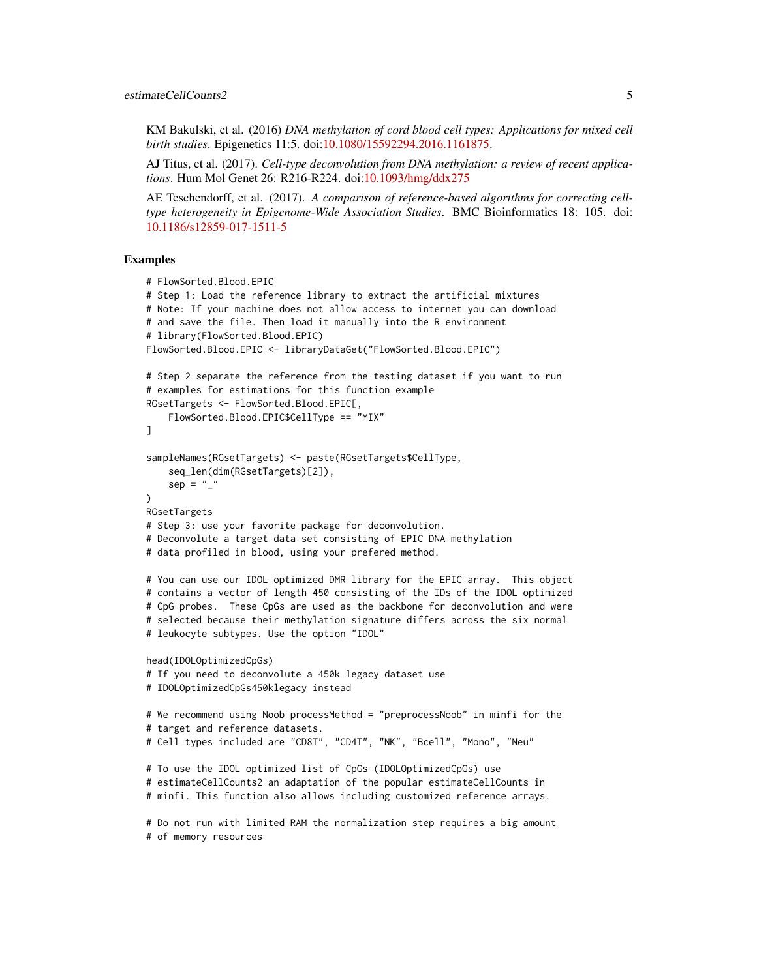KM Bakulski, et al. (2016) *DNA methylation of cord blood cell types: Applications for mixed cell birth studies*. Epigenetics 11:5. doi[:10.1080/15592294.2016.1161875.](https://dx.doi.org/10.1080/15592294.2016.1161875)

AJ Titus, et al. (2017). *Cell-type deconvolution from DNA methylation: a review of recent applications*. Hum Mol Genet 26: R216-R224. doi[:10.1093/hmg/ddx275](https://dx.doi.org/10.1093/hmg/ddx275)

AE Teschendorff, et al. (2017). *A comparison of reference-based algorithms for correcting celltype heterogeneity in Epigenome-Wide Association Studies*. BMC Bioinformatics 18: 105. doi: [10.1186/s12859-017-1511-5](https://dx.doi.org/10.1186/s12859-017-1511-5)

#### Examples

```
# FlowSorted.Blood.EPIC
# Step 1: Load the reference library to extract the artificial mixtures
# Note: If your machine does not allow access to internet you can download
# and save the file. Then load it manually into the R environment
# library(FlowSorted.Blood.EPIC)
FlowSorted.Blood.EPIC <- libraryDataGet("FlowSorted.Blood.EPIC")
# Step 2 separate the reference from the testing dataset if you want to run
# examples for estimations for this function example
RGsetTargets <- FlowSorted.Blood.EPIC[,
   FlowSorted.Blood.EPIC$CellType == "MIX"
]
sampleNames(RGsetTargets) <- paste(RGsetTargets$CellType,
    seq_len(dim(RGsetTargets)[2]),
    sep = "'')
RGsetTargets
# Step 3: use your favorite package for deconvolution.
# Deconvolute a target data set consisting of EPIC DNA methylation
# data profiled in blood, using your prefered method.
# You can use our IDOL optimized DMR library for the EPIC array. This object
# contains a vector of length 450 consisting of the IDs of the IDOL optimized
# CpG probes. These CpGs are used as the backbone for deconvolution and were
# selected because their methylation signature differs across the six normal
# leukocyte subtypes. Use the option "IDOL"
head(IDOLOptimizedCpGs)
# If you need to deconvolute a 450k legacy dataset use
# IDOLOptimizedCpGs450klegacy instead
# We recommend using Noob processMethod = "preprocessNoob" in minfi for the
# target and reference datasets.
# Cell types included are "CD8T", "CD4T", "NK", "Bcell", "Mono", "Neu"
# To use the IDOL optimized list of CpGs (IDOLOptimizedCpGs) use
# estimateCellCounts2 an adaptation of the popular estimateCellCounts in
# minfi. This function also allows including customized reference arrays.
# Do not run with limited RAM the normalization step requires a big amount
# of memory resources
```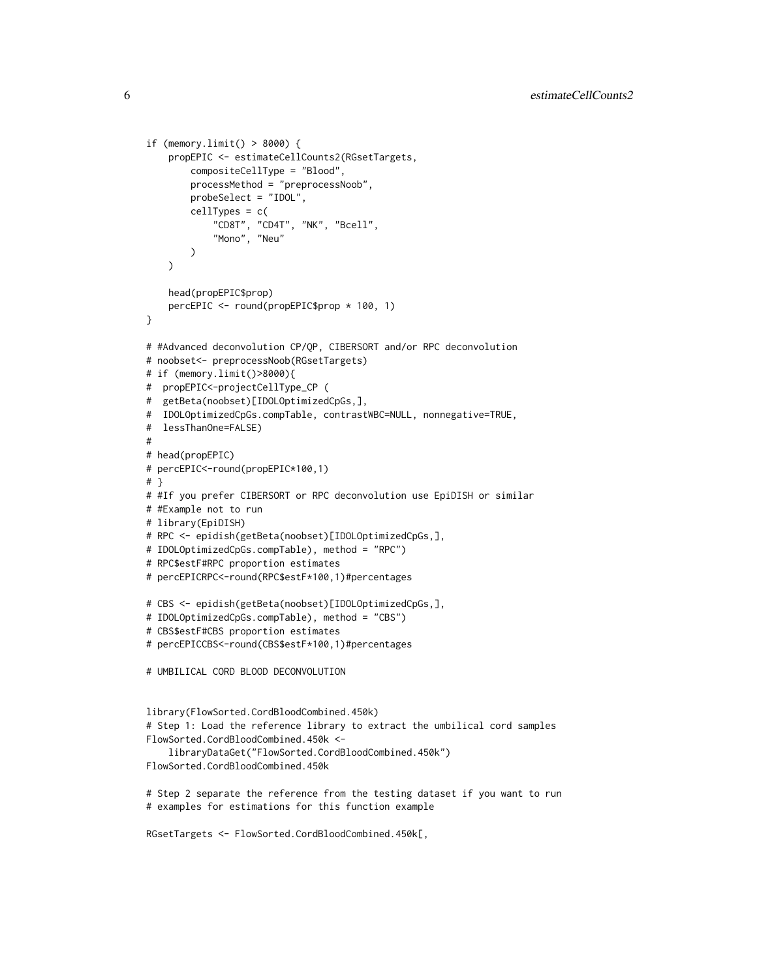```
if (memory.limit() > 8000) {
   propEPIC <- estimateCellCounts2(RGsetTargets,
        compositeCellType = "Blood",
        processMethod = "preprocessNoob",
        probeSelect = "IDOL",
        cellTypes = c("CD8T", "CD4T", "NK", "Bcell",
            "Mono", "Neu"
        \mathcal{L}\lambdahead(propEPIC$prop)
   percEPIC <- round(propEPIC$prop * 100, 1)
}
# #Advanced deconvolution CP/QP, CIBERSORT and/or RPC deconvolution
# noobset<- preprocessNoob(RGsetTargets)
# if (memory.limit()>8000){
# propEPIC<-projectCellType_CP (
# getBeta(noobset)[IDOLOptimizedCpGs,],
# IDOLOptimizedCpGs.compTable, contrastWBC=NULL, nonnegative=TRUE,
# lessThanOne=FALSE)
#
# head(propEPIC)
# percEPIC<-round(propEPIC*100,1)
# }
# #If you prefer CIBERSORT or RPC deconvolution use EpiDISH or similar
# #Example not to run
# library(EpiDISH)
# RPC <- epidish(getBeta(noobset)[IDOLOptimizedCpGs,],
# IDOLOptimizedCpGs.compTable), method = "RPC")
# RPC$estF#RPC proportion estimates
# percEPICRPC<-round(RPC$estF*100,1)#percentages
# CBS <- epidish(getBeta(noobset)[IDOLOptimizedCpGs,],
# IDOLOptimizedCpGs.compTable), method = "CBS")
# CBS$estF#CBS proportion estimates
# percEPICCBS<-round(CBS$estF*100,1)#percentages
# UMBILICAL CORD BLOOD DECONVOLUTION
library(FlowSorted.CordBloodCombined.450k)
# Step 1: Load the reference library to extract the umbilical cord samples
FlowSorted.CordBloodCombined.450k <-
    libraryDataGet("FlowSorted.CordBloodCombined.450k")
FlowSorted.CordBloodCombined.450k
# Step 2 separate the reference from the testing dataset if you want to run
# examples for estimations for this function example
RGsetTargets <- FlowSorted.CordBloodCombined.450k[,
```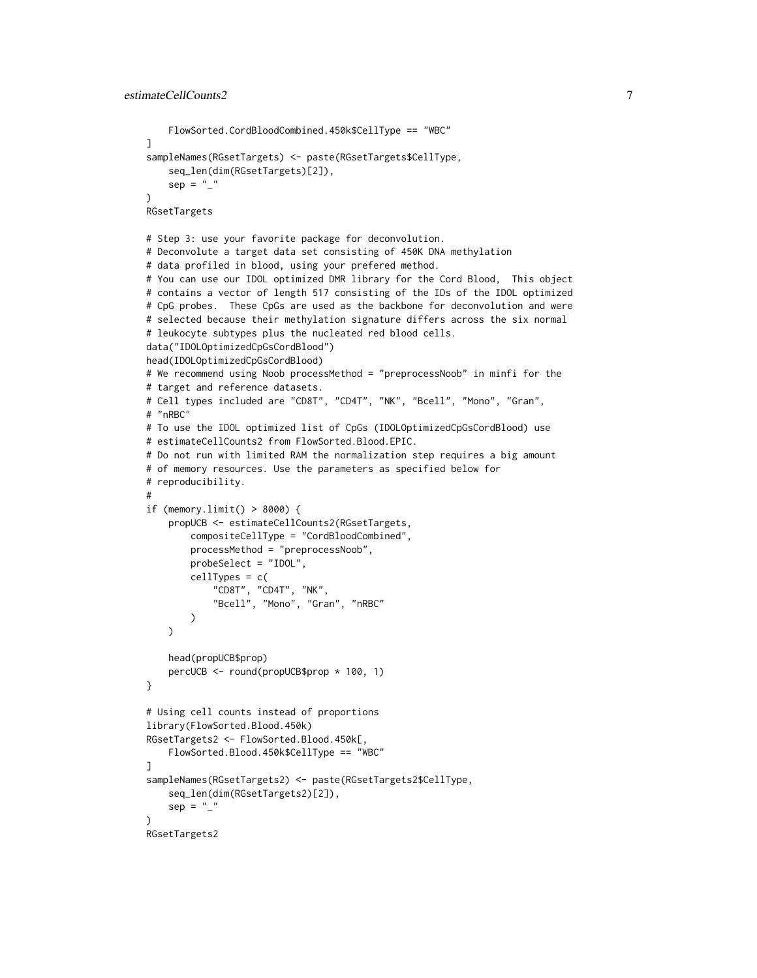```
FlowSorted.CordBloodCombined.450k$CellType == "WBC"
]
sampleNames(RGsetTargets) <- paste(RGsetTargets$CellType,
    seq_len(dim(RGsetTargets)[2]),
    sep = ""
)
RGsetTargets
# Step 3: use your favorite package for deconvolution.
# Deconvolute a target data set consisting of 450K DNA methylation
# data profiled in blood, using your prefered method.
# You can use our IDOL optimized DMR library for the Cord Blood, This object
# contains a vector of length 517 consisting of the IDs of the IDOL optimized
# CpG probes. These CpGs are used as the backbone for deconvolution and were
# selected because their methylation signature differs across the six normal
# leukocyte subtypes plus the nucleated red blood cells.
data("IDOLOptimizedCpGsCordBlood")
head(IDOLOptimizedCpGsCordBlood)
# We recommend using Noob processMethod = "preprocessNoob" in minfi for the
# target and reference datasets.
# Cell types included are "CD8T", "CD4T", "NK", "Bcell", "Mono", "Gran",
# "nRBC"
# To use the IDOL optimized list of CpGs (IDOLOptimizedCpGsCordBlood) use
# estimateCellCounts2 from FlowSorted.Blood.EPIC.
# Do not run with limited RAM the normalization step requires a big amount
# of memory resources. Use the parameters as specified below for
# reproducibility.
#
if (memory.limit() > 8000) {
   propUCB <- estimateCellCounts2(RGsetTargets,
        compositeCellType = "CordBloodCombined",
        processMethod = "preprocessNoob",
        probeSelect = "IDOL",
        cellTypes = c("CD8T", "CD4T", "NK",
            "Bcell", "Mono", "Gran", "nRBC"
        \lambda)
    head(propUCB$prop)
    percUCB <- round(propUCB$prop * 100, 1)
}
# Using cell counts instead of proportions
library(FlowSorted.Blood.450k)
RGsetTargets2 <- FlowSorted.Blood.450k[,
   FlowSorted.Blood.450k$CellType == "WBC"
]
sampleNames(RGsetTargets2) <- paste(RGsetTargets2$CellType,
    seq_len(dim(RGsetTargets2)[2]),
    sep = ""
)
RGsetTargets2
```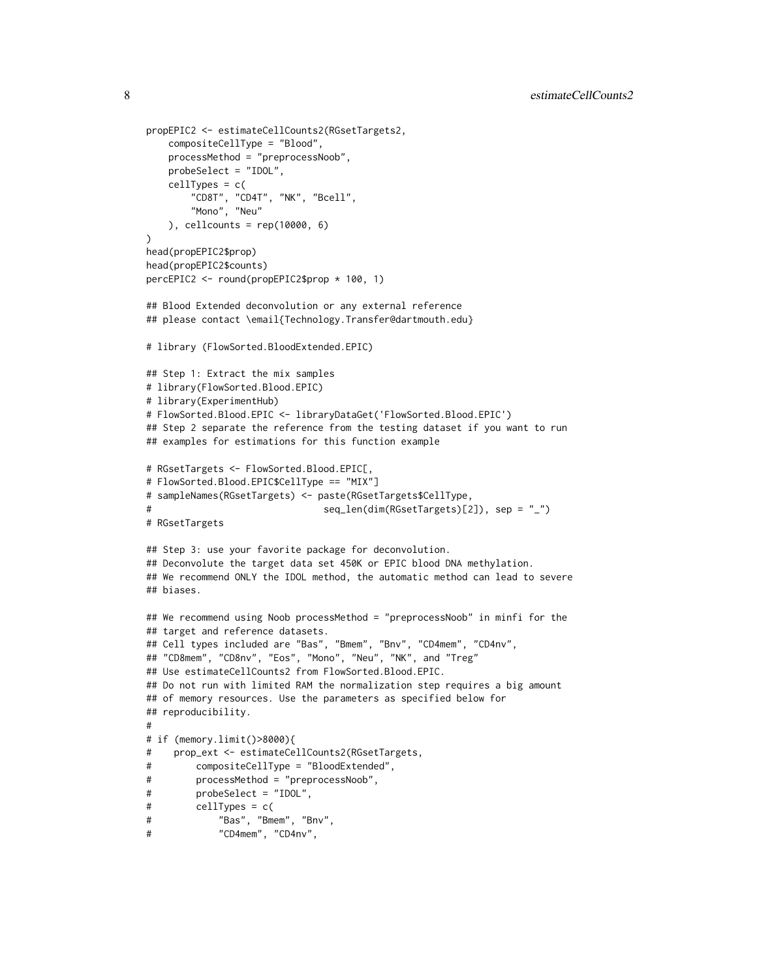```
propEPIC2 <- estimateCellCounts2(RGsetTargets2,
    compositeCellType = "Blood",
   processMethod = "preprocessNoob",
   probeSelect = "IDOL",
    cellTypes = c(
        "CD8T", "CD4T", "NK", "Bcell",
       "Mono", "Neu"
    ), cellcounts = rep(10000, 6)
\lambdahead(propEPIC2$prop)
head(propEPIC2$counts)
percEPIC2 <- round(propEPIC2$prop * 100, 1)
## Blood Extended deconvolution or any external reference
## please contact \email{Technology.Transfer@dartmouth.edu}
# library (FlowSorted.BloodExtended.EPIC)
## Step 1: Extract the mix samples
# library(FlowSorted.Blood.EPIC)
# library(ExperimentHub)
# FlowSorted.Blood.EPIC <- libraryDataGet('FlowSorted.Blood.EPIC')
## Step 2 separate the reference from the testing dataset if you want to run
## examples for estimations for this function example
# RGsetTargets <- FlowSorted.Blood.EPIC[,
# FlowSorted.Blood.EPIC$CellType == "MIX"]
# sampleNames(RGsetTargets) <- paste(RGsetTargets$CellType,
# seq_len(dim(RGsetTargets)[2]), sep = "_")
# RGsetTargets
## Step 3: use your favorite package for deconvolution.
## Deconvolute the target data set 450K or EPIC blood DNA methylation.
## We recommend ONLY the IDOL method, the automatic method can lead to severe
## biases.
## We recommend using Noob processMethod = "preprocessNoob" in minfi for the
## target and reference datasets.
## Cell types included are "Bas", "Bmem", "Bnv", "CD4mem", "CD4nv",
## "CD8mem", "CD8nv", "Eos", "Mono", "Neu", "NK", and "Treg"
## Use estimateCellCounts2 from FlowSorted.Blood.EPIC.
## Do not run with limited RAM the normalization step requires a big amount
## of memory resources. Use the parameters as specified below for
## reproducibility.
#
# if (memory.limit()>8000){
# prop_ext <- estimateCellCounts2(RGsetTargets,
# compositeCellType = "BloodExtended",
# processMethod = "preprocessNoob",
# probeSelect = "IDOL",
# cellTypes = c(
# "Bas", "Bmem", "Bnv",
# "CD4mem", "CD4nv",
```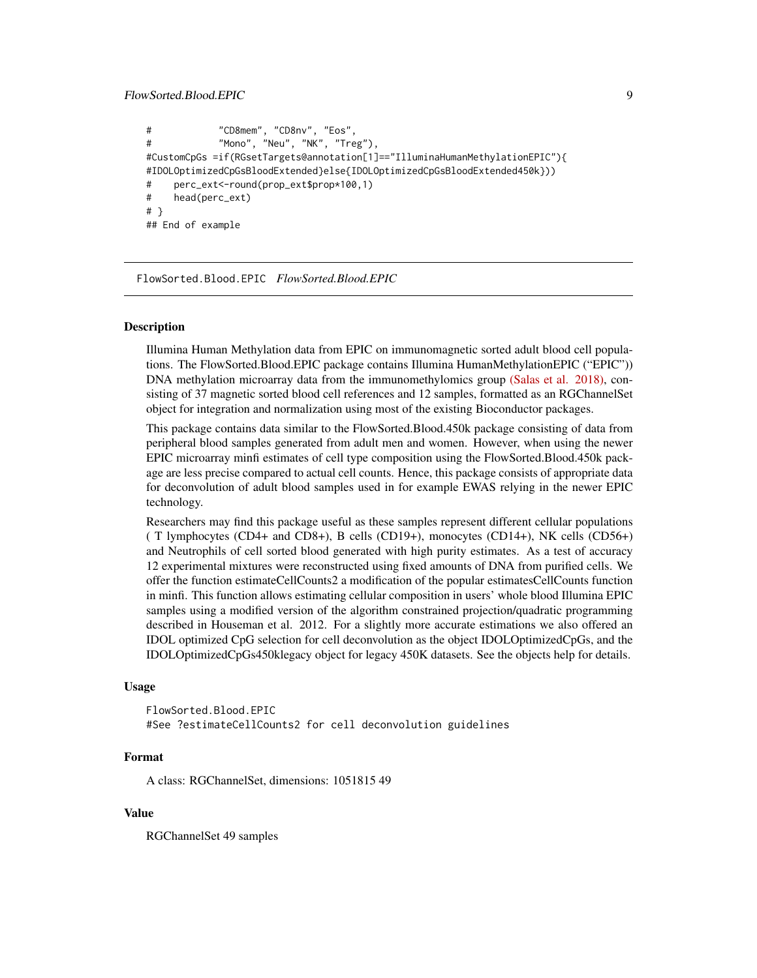```
# "CD8mem", "CD8nv", "Eos",
# "Mono", "Neu", "NK", "Treg"),
#CustomCpGs =if(RGsetTargets@annotation[1]=="IlluminaHumanMethylationEPIC"){
#IDOLOptimizedCpGsBloodExtended}else{IDOLOptimizedCpGsBloodExtended450k}))
# perc_ext<-round(prop_ext$prop*100,1)
# head(perc_ext)
# }
## End of example
```
FlowSorted.Blood.EPIC *FlowSorted.Blood.EPIC*

#### Description

Illumina Human Methylation data from EPIC on immunomagnetic sorted adult blood cell populations. The FlowSorted.Blood.EPIC package contains Illumina HumanMethylationEPIC ("EPIC")) DNA methylation microarray data from the immunomethylomics group [\(Salas et al. 2018\),](https://dx.doi.org/10.1186/s13059-018-1448-7) consisting of 37 magnetic sorted blood cell references and 12 samples, formatted as an RGChannelSet object for integration and normalization using most of the existing Bioconductor packages.

This package contains data similar to the FlowSorted.Blood.450k package consisting of data from peripheral blood samples generated from adult men and women. However, when using the newer EPIC microarray minfi estimates of cell type composition using the FlowSorted.Blood.450k package are less precise compared to actual cell counts. Hence, this package consists of appropriate data for deconvolution of adult blood samples used in for example EWAS relying in the newer EPIC technology.

Researchers may find this package useful as these samples represent different cellular populations ( T lymphocytes (CD4+ and CD8+), B cells (CD19+), monocytes (CD14+), NK cells (CD56+) and Neutrophils of cell sorted blood generated with high purity estimates. As a test of accuracy 12 experimental mixtures were reconstructed using fixed amounts of DNA from purified cells. We offer the function estimateCellCounts2 a modification of the popular estimatesCellCounts function in minfi. This function allows estimating cellular composition in users' whole blood Illumina EPIC samples using a modified version of the algorithm constrained projection/quadratic programming described in Houseman et al. 2012. For a slightly more accurate estimations we also offered an IDOL optimized CpG selection for cell deconvolution as the object IDOLOptimizedCpGs, and the IDOLOptimizedCpGs450klegacy object for legacy 450K datasets. See the objects help for details.

#### Usage

```
FlowSorted.Blood.EPIC
#See ?estimateCellCounts2 for cell deconvolution guidelines
```
#### Format

A class: RGChannelSet, dimensions: 1051815 49

#### Value

RGChannelSet 49 samples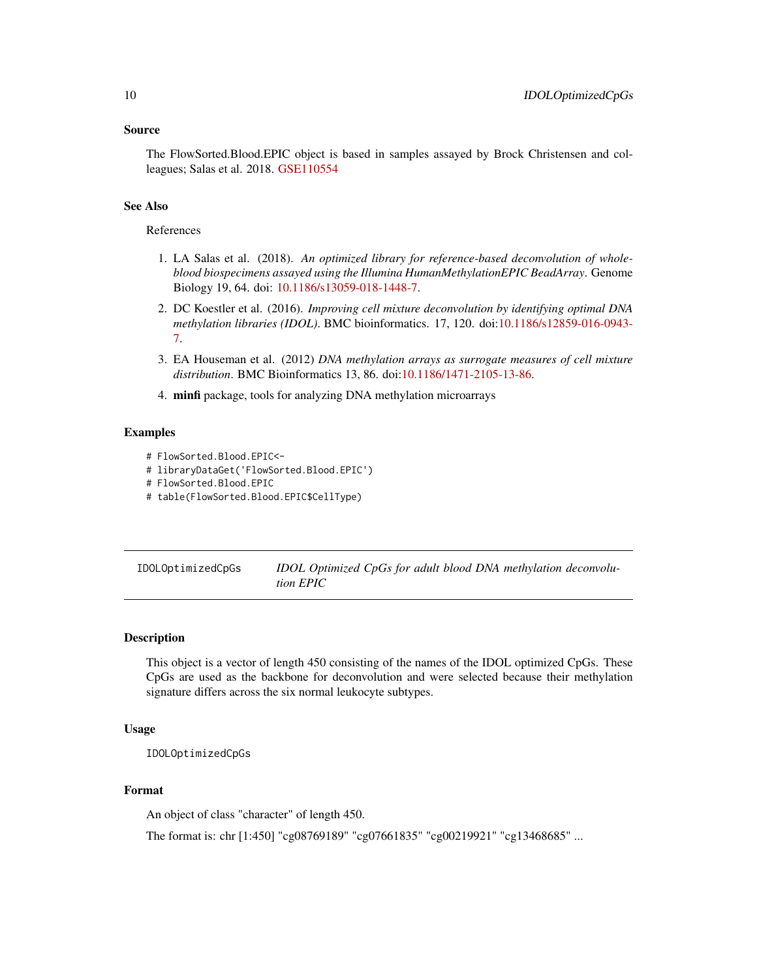#### <span id="page-9-0"></span>Source

The FlowSorted.Blood.EPIC object is based in samples assayed by Brock Christensen and colleagues; Salas et al. 2018. [GSE110554](https://www.ncbi.nlm.nih.gov/geo/query/acc.cgi?acc=GSE110554)

# See Also

#### References

- 1. LA Salas et al. (2018). *An optimized library for reference-based deconvolution of wholeblood biospecimens assayed using the Illumina HumanMethylationEPIC BeadArray*. Genome Biology 19, 64. doi: [10.1186/s13059-018-1448-7.](https://dx.doi.org/10.1186/s13059-018-1448-7)
- 2. DC Koestler et al. (2016). *Improving cell mixture deconvolution by identifying optimal DNA methylation libraries (IDOL)*. BMC bioinformatics. 17, 120. doi[:10.1186/s12859-016-0943-](https://dx.doi.org/10.1186/s12859-016-0943-7) [7.](https://dx.doi.org/10.1186/s12859-016-0943-7)
- 3. EA Houseman et al. (2012) *DNA methylation arrays as surrogate measures of cell mixture distribution*. BMC Bioinformatics 13, 86. doi[:10.1186/1471-2105-13-86.](https://dx.doi.org/10.1186/s12859-016-0943-7)
- 4. minfi package, tools for analyzing DNA methylation microarrays

#### Examples

- # FlowSorted.Blood.EPIC<-
- # libraryDataGet('FlowSorted.Blood.EPIC')
- # FlowSorted.Blood.EPIC
- # table(FlowSorted.Blood.EPIC\$CellType)

| IDOLOptimizedCpGs | IDOL Optimized CpGs for adult blood DNA methylation deconvolu- |
|-------------------|----------------------------------------------------------------|
|                   | tion EPIC                                                      |

# Description

This object is a vector of length 450 consisting of the names of the IDOL optimized CpGs. These CpGs are used as the backbone for deconvolution and were selected because their methylation signature differs across the six normal leukocyte subtypes.

#### Usage

IDOLOptimizedCpGs

#### Format

An object of class "character" of length 450.

The format is: chr [1:450] "cg08769189" "cg07661835" "cg00219921" "cg13468685" ...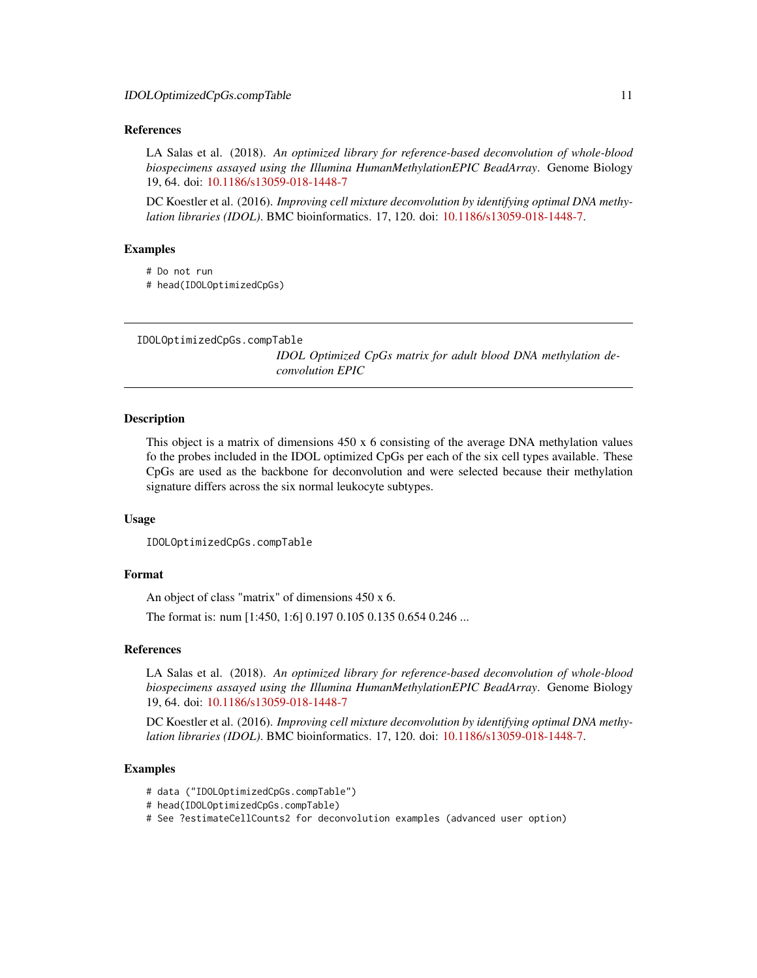#### <span id="page-10-0"></span>References

LA Salas et al. (2018). *An optimized library for reference-based deconvolution of whole-blood biospecimens assayed using the Illumina HumanMethylationEPIC BeadArray*. Genome Biology 19, 64. doi: [10.1186/s13059-018-1448-7](https://dx.doi.org/10.1186/s13059-018-1448-7)

DC Koestler et al. (2016). *Improving cell mixture deconvolution by identifying optimal DNA methylation libraries (IDOL)*. BMC bioinformatics. 17, 120. doi: [10.1186/s13059-018-1448-7.](https://dx.doi.org/10.1186/s13059-018-1448-7)

#### Examples

# Do not run

# head(IDOLOptimizedCpGs)

```
IDOLOptimizedCpGs.compTable
```
*IDOL Optimized CpGs matrix for adult blood DNA methylation deconvolution EPIC*

#### Description

This object is a matrix of dimensions 450 x 6 consisting of the average DNA methylation values fo the probes included in the IDOL optimized CpGs per each of the six cell types available. These CpGs are used as the backbone for deconvolution and were selected because their methylation signature differs across the six normal leukocyte subtypes.

### Usage

```
IDOLOptimizedCpGs.compTable
```
#### Format

An object of class "matrix" of dimensions 450 x 6.

The format is: num [1:450, 1:6] 0.197 0.105 0.135 0.654 0.246 ...

#### References

LA Salas et al. (2018). *An optimized library for reference-based deconvolution of whole-blood biospecimens assayed using the Illumina HumanMethylationEPIC BeadArray*. Genome Biology 19, 64. doi: [10.1186/s13059-018-1448-7](https://dx.doi.org/10.1186/s13059-018-1448-7)

DC Koestler et al. (2016). *Improving cell mixture deconvolution by identifying optimal DNA methylation libraries (IDOL)*. BMC bioinformatics. 17, 120. doi: [10.1186/s13059-018-1448-7.](https://dx.doi.org/10.1186/s13059-018-1448-7)

#### Examples

- # data ("IDOLOptimizedCpGs.compTable")
- # head(IDOLOptimizedCpGs.compTable)
- # See ?estimateCellCounts2 for deconvolution examples (advanced user option)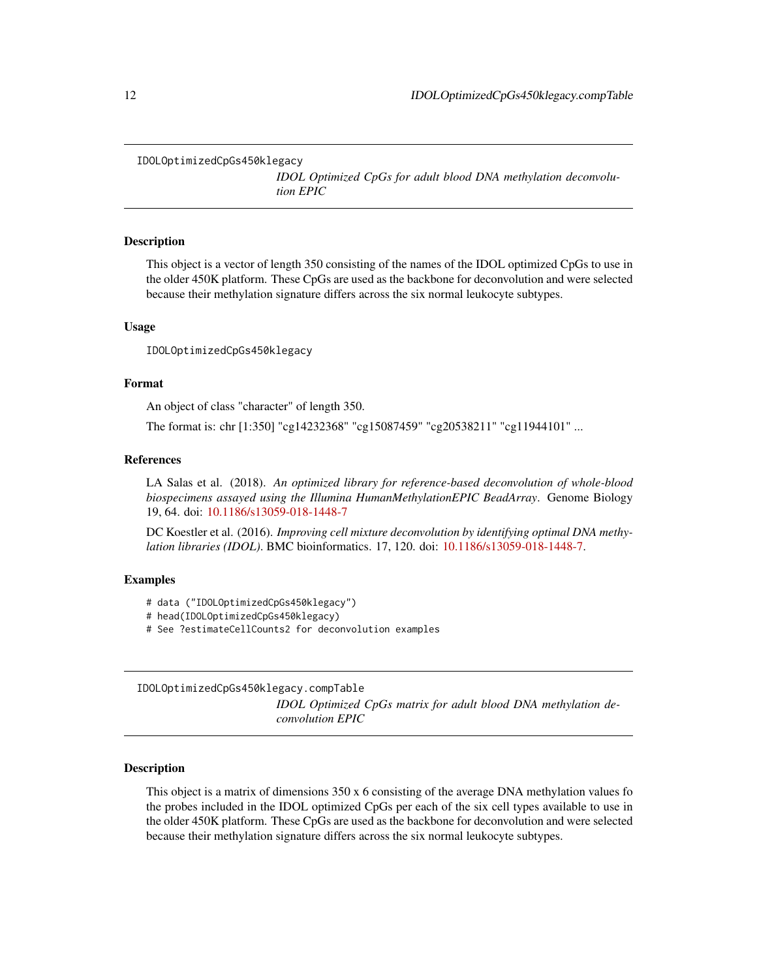<span id="page-11-0"></span>IDOLOptimizedCpGs450klegacy

*IDOL Optimized CpGs for adult blood DNA methylation deconvolution EPIC*

#### Description

This object is a vector of length 350 consisting of the names of the IDOL optimized CpGs to use in the older 450K platform. These CpGs are used as the backbone for deconvolution and were selected because their methylation signature differs across the six normal leukocyte subtypes.

#### Usage

IDOLOptimizedCpGs450klegacy

#### Format

An object of class "character" of length 350.

The format is: chr [1:350] "cg14232368" "cg15087459" "cg20538211" "cg11944101" ...

#### References

LA Salas et al. (2018). *An optimized library for reference-based deconvolution of whole-blood biospecimens assayed using the Illumina HumanMethylationEPIC BeadArray*. Genome Biology 19, 64. doi: [10.1186/s13059-018-1448-7](https://dx.doi.org/10.1186/s13059-018-1448-7)

DC Koestler et al. (2016). *Improving cell mixture deconvolution by identifying optimal DNA methylation libraries (IDOL)*. BMC bioinformatics. 17, 120. doi: [10.1186/s13059-018-1448-7.](https://dx.doi.org/10.1186/s13059-018-1448-7)

### Examples

- # data ("IDOLOptimizedCpGs450klegacy")
- # head(IDOLOptimizedCpGs450klegacy)
- # See ?estimateCellCounts2 for deconvolution examples

IDOLOptimizedCpGs450klegacy.compTable

*IDOL Optimized CpGs matrix for adult blood DNA methylation deconvolution EPIC*

#### Description

This object is a matrix of dimensions 350 x 6 consisting of the average DNA methylation values fo the probes included in the IDOL optimized CpGs per each of the six cell types available to use in the older 450K platform. These CpGs are used as the backbone for deconvolution and were selected because their methylation signature differs across the six normal leukocyte subtypes.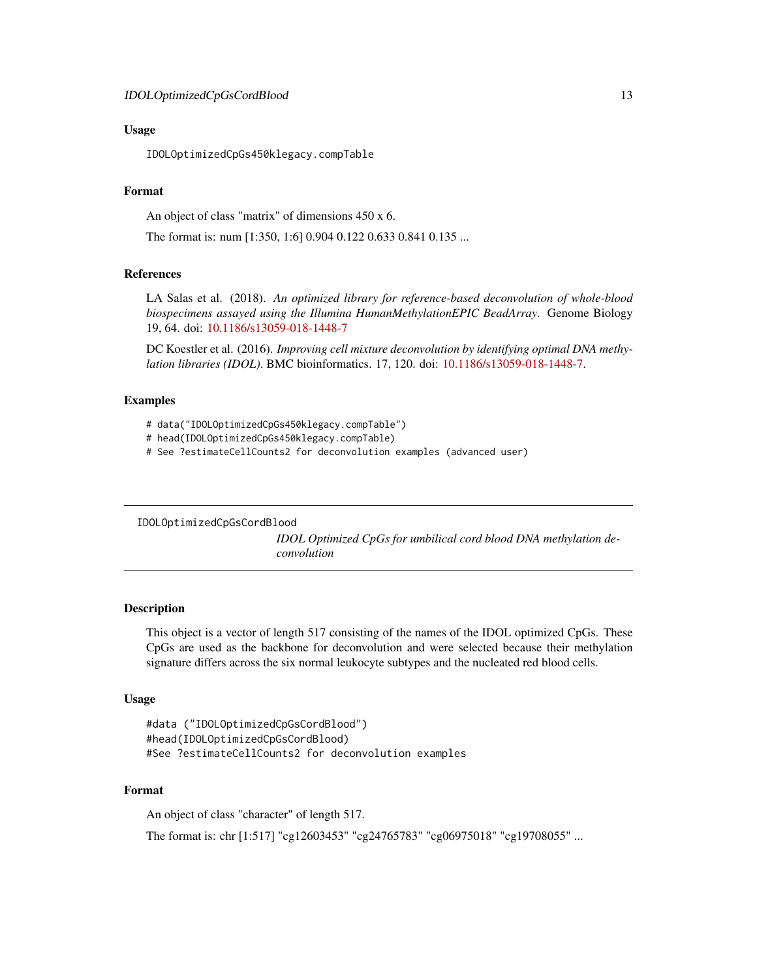### <span id="page-12-0"></span>Usage

IDOLOptimizedCpGs450klegacy.compTable

# Format

An object of class "matrix" of dimensions 450 x 6.

The format is: num [1:350, 1:6] 0.904 0.122 0.633 0.841 0.135 ...

#### References

LA Salas et al. (2018). *An optimized library for reference-based deconvolution of whole-blood biospecimens assayed using the Illumina HumanMethylationEPIC BeadArray*. Genome Biology 19, 64. doi: [10.1186/s13059-018-1448-7](https://dx.doi.org/10.1186/s13059-018-1448-7)

DC Koestler et al. (2016). *Improving cell mixture deconvolution by identifying optimal DNA methylation libraries (IDOL)*. BMC bioinformatics. 17, 120. doi: [10.1186/s13059-018-1448-7.](https://dx.doi.org/10.1186/s13059-018-1448-7)

### Examples

- # data("IDOLOptimizedCpGs450klegacy.compTable")
- # head(IDOLOptimizedCpGs450klegacy.compTable)
- # See ?estimateCellCounts2 for deconvolution examples (advanced user)

```
IDOLOptimizedCpGsCordBlood
```
*IDOL Optimized CpGs for umbilical cord blood DNA methylation deconvolution*

# Description

This object is a vector of length 517 consisting of the names of the IDOL optimized CpGs. These CpGs are used as the backbone for deconvolution and were selected because their methylation signature differs across the six normal leukocyte subtypes and the nucleated red blood cells.

# Usage

```
#data ("IDOLOptimizedCpGsCordBlood")
#head(IDOLOptimizedCpGsCordBlood)
#See ?estimateCellCounts2 for deconvolution examples
```
# Format

An object of class "character" of length 517.

The format is: chr [1:517] "cg12603453" "cg24765783" "cg06975018" "cg19708055" ...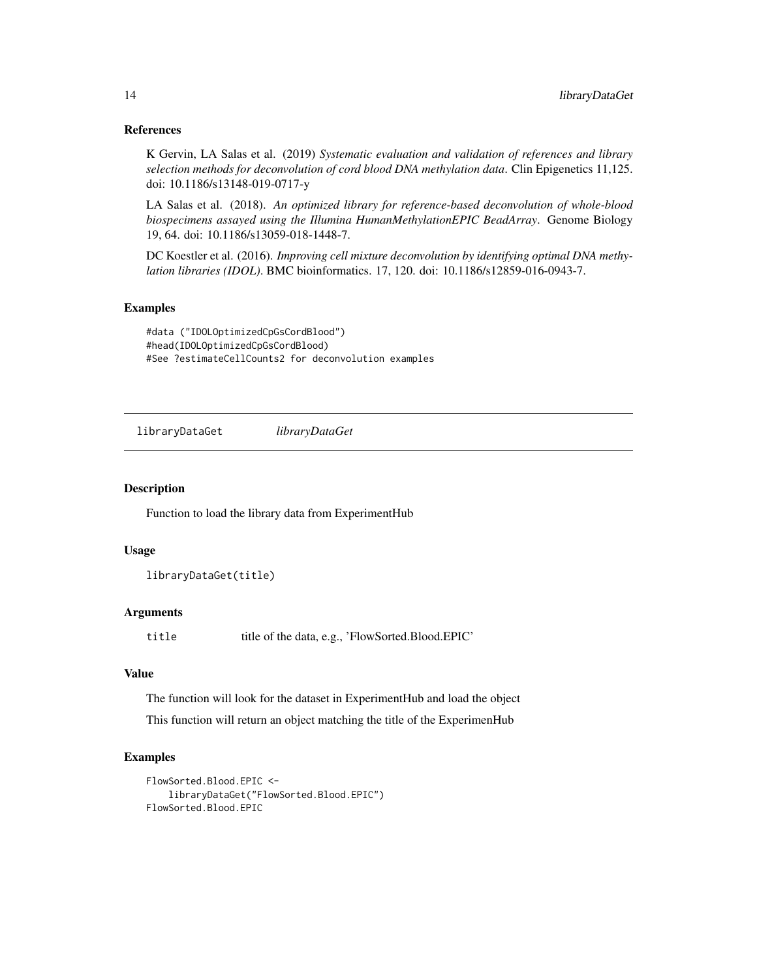#### <span id="page-13-0"></span>References

K Gervin, LA Salas et al. (2019) *Systematic evaluation and validation of references and library selection methods for deconvolution of cord blood DNA methylation data*. Clin Epigenetics 11,125. doi: 10.1186/s13148-019-0717-y

LA Salas et al. (2018). *An optimized library for reference-based deconvolution of whole-blood biospecimens assayed using the Illumina HumanMethylationEPIC BeadArray*. Genome Biology 19, 64. doi: 10.1186/s13059-018-1448-7.

DC Koestler et al. (2016). *Improving cell mixture deconvolution by identifying optimal DNA methylation libraries (IDOL)*. BMC bioinformatics. 17, 120. doi: 10.1186/s12859-016-0943-7.

#### Examples

#data ("IDOLOptimizedCpGsCordBlood") #head(IDOLOptimizedCpGsCordBlood) #See ?estimateCellCounts2 for deconvolution examples

libraryDataGet *libraryDataGet*

#### Description

Function to load the library data from ExperimentHub

### Usage

libraryDataGet(title)

#### Arguments

title title of the data, e.g., 'FlowSorted.Blood.EPIC'

#### Value

The function will look for the dataset in ExperimentHub and load the object

This function will return an object matching the title of the ExperimenHub

#### Examples

```
FlowSorted.Blood.EPIC <-
    libraryDataGet("FlowSorted.Blood.EPIC")
FlowSorted.Blood.EPIC
```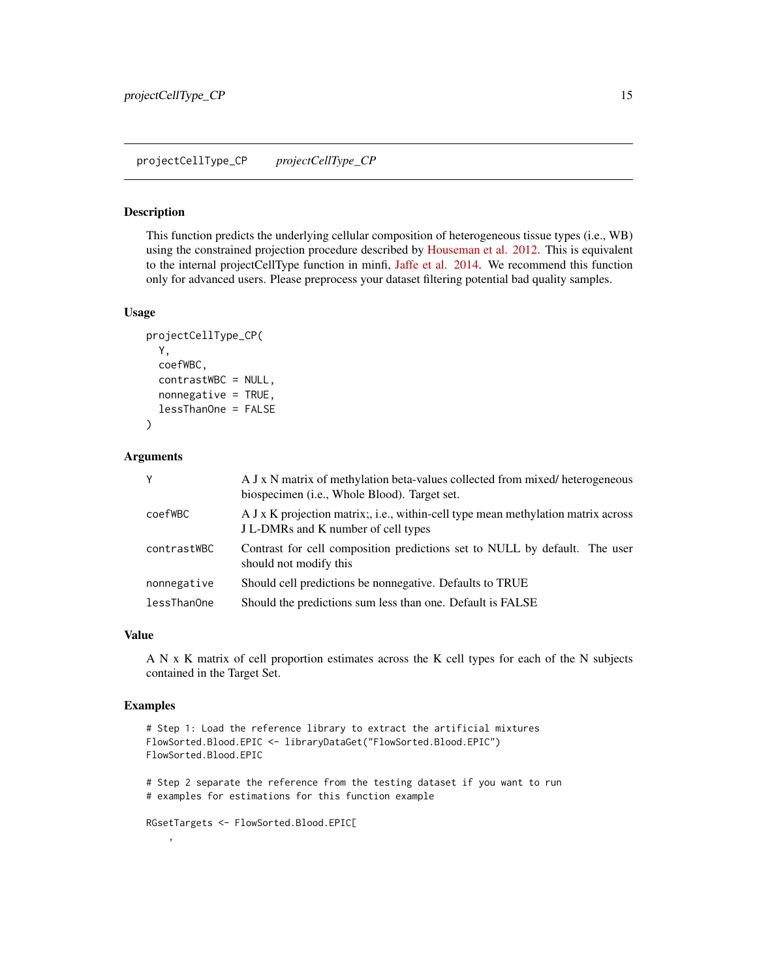#### <span id="page-14-0"></span>Description

This function predicts the underlying cellular composition of heterogeneous tissue types (i.e., WB) using the constrained projection procedure described by [Houseman et al. 2012.](https://dx.doi.org/10.1186/s12859-016-0943-7) This is equivalent to the internal projectCellType function in minfi, [Jaffe et al. 2014.](https://dx.doi.org/10.1186/gb-2014-15-2-r31) We recommend this function only for advanced users. Please preprocess your dataset filtering potential bad quality samples.

#### Usage

```
projectCellType_CP(
  Y,
  coefWBC,
  contrastWBC = NULL,
  nonnegative = TRUE,
  lessThanOne = FALSE
)
```
#### Arguments

| Y           | A J x N matrix of methylation beta-values collected from mixed/heterogeneous<br>biospecimen ( <i>i.e.</i> , Whole Blood). Target set. |
|-------------|---------------------------------------------------------------------------------------------------------------------------------------|
| coefWBC     | A J x K projection matrix; i.e., within-cell type mean methylation matrix across<br>J L-DMRs and K number of cell types               |
| contrastWBC | Contrast for cell composition predictions set to NULL by default. The user<br>should not modify this                                  |
| nonnegative | Should cell predictions be nonnegative. Defaults to TRUE                                                                              |
| lessThanOne | Should the predictions sum less than one. Default is FALSE                                                                            |

# Value

A N x K matrix of cell proportion estimates across the K cell types for each of the N subjects contained in the Target Set.

#### Examples

,

```
# Step 1: Load the reference library to extract the artificial mixtures
FlowSorted.Blood.EPIC <- libraryDataGet("FlowSorted.Blood.EPIC")
FlowSorted.Blood.EPIC
# Step 2 separate the reference from the testing dataset if you want to run
# examples for estimations for this function example
```
RGsetTargets <- FlowSorted.Blood.EPIC[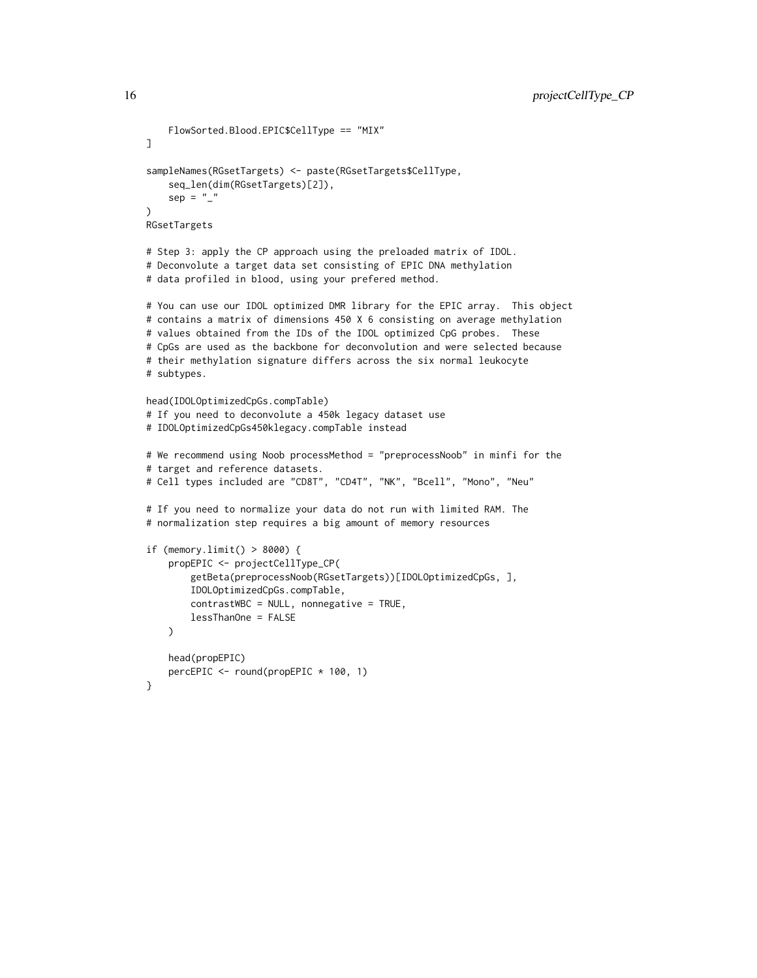```
FlowSorted.Blood.EPIC$CellType == "MIX"
]
sampleNames(RGsetTargets) <- paste(RGsetTargets$CellType,
    seq_len(dim(RGsetTargets)[2]),
    sep = ")
RGsetTargets
# Step 3: apply the CP approach using the preloaded matrix of IDOL.
# Deconvolute a target data set consisting of EPIC DNA methylation
# data profiled in blood, using your prefered method.
# You can use our IDOL optimized DMR library for the EPIC array. This object
# contains a matrix of dimensions 450 X 6 consisting on average methylation
# values obtained from the IDs of the IDOL optimized CpG probes. These
# CpGs are used as the backbone for deconvolution and were selected because
# their methylation signature differs across the six normal leukocyte
# subtypes.
head(IDOLOptimizedCpGs.compTable)
# If you need to deconvolute a 450k legacy dataset use
# IDOLOptimizedCpGs450klegacy.compTable instead
# We recommend using Noob processMethod = "preprocessNoob" in minfi for the
# target and reference datasets.
# Cell types included are "CD8T", "CD4T", "NK", "Bcell", "Mono", "Neu"
# If you need to normalize your data do not run with limited RAM. The
# normalization step requires a big amount of memory resources
if (memory.limit() > 8000) {
    propEPIC <- projectCellType_CP(
        getBeta(preprocessNoob(RGsetTargets))[IDOLOptimizedCpGs, ],
        IDOLOptimizedCpGs.compTable,
        contrastWBC = NULL, nonnegative = TRUE,
        lessThanOne = FALSE
    )
    head(propEPIC)
    percEPIC <- round(propEPIC * 100, 1)
}
```